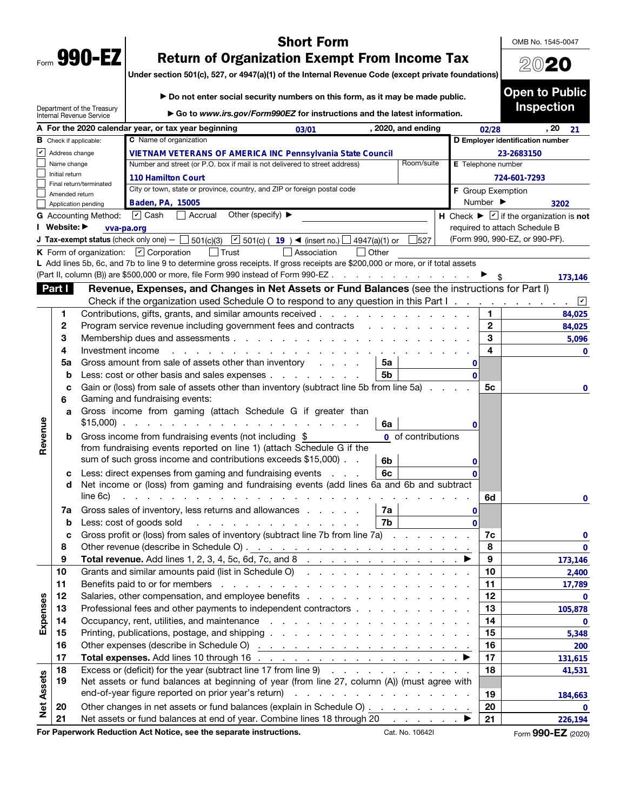|      | 990- |  |
|------|------|--|
| Form | v    |  |

# Short Form

OMB No. 1545-0047

2020

Open to Public

# Return of Organization Exempt From Income Tax

Under section 501(c), 527, or 4947(a)(1) of the Internal Revenue Code (except private foundations)

| ► Do not enter social security numbers on this form, as it may be made public. |  |
|--------------------------------------------------------------------------------|--|
|                                                                                |  |

|                   |                                       | Department of the Treasury<br>Internal Revenue Service | ► Go to www.irs.gov/Form990EZ for instructions and the latest information.                                                                            |                           |              | <b>Inspection</b>                                                            |              |
|-------------------|---------------------------------------|--------------------------------------------------------|-------------------------------------------------------------------------------------------------------------------------------------------------------|---------------------------|--------------|------------------------------------------------------------------------------|--------------|
|                   |                                       |                                                        | A For the 2020 calendar year, or tax year beginning<br>, 2020, and ending<br>03/01                                                                    |                           | 02/28        | , 20                                                                         | 21           |
|                   | $\,$ Check if applicable:             |                                                        | <b>C</b> Name of organization                                                                                                                         |                           |              | D Employer identification number                                             |              |
| v                 | Address change                        |                                                        | VIETNAM VETERANS OF AMERICA INC Pennsylvania State Council                                                                                            |                           |              | 23-2683150                                                                   |              |
|                   | Name change                           |                                                        | Room/suite<br>Number and street (or P.O. box if mail is not delivered to street address)                                                              | <b>E</b> Telephone number |              |                                                                              |              |
|                   | Initial return                        |                                                        | <b>110 Hamilton Court</b>                                                                                                                             |                           |              | 724-601-7293                                                                 |              |
|                   |                                       | Final return/terminated                                | City or town, state or province, country, and ZIP or foreign postal code                                                                              | <b>F</b> Group Exemption  |              |                                                                              |              |
|                   | Amended return<br>Application pending |                                                        | Baden, PA, 15005                                                                                                                                      |                           | Number ▶     |                                                                              | 3202         |
|                   |                                       | G Accounting Method:                                   | $\triangleright$ Cash<br>Other (specify) ▶<br>Accrual                                                                                                 |                           |              | H Check $\blacktriangleright \blacktriangleright$ if the organization is not |              |
|                   | Website: ▶                            | vva-pa.org                                             |                                                                                                                                                       |                           |              | required to attach Schedule B                                                |              |
|                   |                                       |                                                        | <b>J Tax-exempt status</b> (check only one) $ \Box$ 501(c)(3)<br>■ 501(c) (19) < (insert no.)<br>4947(a)(1) or<br>527                                 |                           |              | (Form 990, 990-EZ, or 990-PF).                                               |              |
|                   |                                       |                                                        | K Form of organization: $\boxed{\mathbf{v}}$ Corporation<br>l Trust<br>Association<br>  Other                                                         |                           |              |                                                                              |              |
|                   |                                       |                                                        | L Add lines 5b, 6c, and 7b to line 9 to determine gross receipts. If gross receipts are \$200,000 or more, or if total assets                         |                           |              |                                                                              |              |
|                   |                                       |                                                        | (Part II, column (B)) are \$500,000 or more, file Form 990 instead of Form 990-EZ.<br>and a straightful contract and                                  |                           |              |                                                                              | 173,146      |
|                   | Part I                                |                                                        | Revenue, Expenses, and Changes in Net Assets or Fund Balances (see the instructions for Part I)                                                       |                           |              |                                                                              |              |
|                   |                                       |                                                        | Check if the organization used Schedule O to respond to any question in this Part I.                                                                  |                           |              |                                                                              | ⊻            |
|                   | 1                                     |                                                        | Contributions, gifts, grants, and similar amounts received.<br>the contract of the contract of the                                                    |                           | 1            |                                                                              | 84,025       |
|                   | 2                                     |                                                        | Program service revenue including government fees and contracts                                                                                       |                           | $\mathbf{2}$ |                                                                              | 84,025       |
|                   | 3                                     |                                                        | Membership dues and assessments                                                                                                                       |                           | 3            |                                                                              | 5,096        |
|                   | 4                                     | Investment income                                      |                                                                                                                                                       |                           | 4            |                                                                              | $\mathbf{0}$ |
|                   | 5a                                    |                                                        | Gross amount from sale of assets other than inventory<br>5a<br>and the control of                                                                     | 0                         |              |                                                                              |              |
|                   | b                                     |                                                        | Less: cost or other basis and sales expenses<br>5b                                                                                                    | $\Omega$                  |              |                                                                              |              |
|                   | с                                     |                                                        | Gain or (loss) from sale of assets other than inventory (subtract line 5b from line 5a)                                                               |                           | 5c           |                                                                              | 0            |
|                   | 6                                     |                                                        | Gaming and fundraising events:                                                                                                                        |                           |              |                                                                              |              |
|                   |                                       |                                                        | Gross income from gaming (attach Schedule G if greater than                                                                                           |                           |              |                                                                              |              |
|                   | a                                     |                                                        | 6a                                                                                                                                                    |                           |              |                                                                              |              |
| Revenue           |                                       |                                                        |                                                                                                                                                       | 0                         |              |                                                                              |              |
|                   | b                                     |                                                        | Gross income from fundraising events (not including \$<br>0 of contributions<br>from fundraising events reported on line 1) (attach Schedule G if the |                           |              |                                                                              |              |
|                   |                                       |                                                        | sum of such gross income and contributions exceeds \$15,000).<br>6b                                                                                   |                           |              |                                                                              |              |
|                   |                                       |                                                        | Less: direct expenses from gaming and fundraising events<br>6с<br><b>Service</b>                                                                      | 0                         |              |                                                                              |              |
|                   | с<br>d                                |                                                        | Net income or (loss) from gaming and fundraising events (add lines 6a and 6b and subtract                                                             |                           |              |                                                                              |              |
|                   |                                       | line 6c)                                               |                                                                                                                                                       |                           | 6d           |                                                                              |              |
|                   |                                       |                                                        |                                                                                                                                                       |                           |              |                                                                              | 0            |
|                   | 7a                                    |                                                        | Gross sales of inventory, less returns and allowances<br>7a<br>7b                                                                                     | 0<br>$\Omega$             |              |                                                                              |              |
|                   | b                                     |                                                        | Less: cost of goods sold<br>a construction of the construction of                                                                                     |                           |              |                                                                              |              |
|                   | с                                     |                                                        | Gross profit or (loss) from sales of inventory (subtract line 7b from line 7a).                                                                       |                           | 7c           |                                                                              | 0            |
|                   | 8<br>9                                |                                                        | Total revenue. Add lines 1, 2, 3, 4, 5c, 6d, 7c, and 8                                                                                                |                           | 8<br>9       |                                                                              | 0            |
|                   | 10                                    |                                                        | Grants and similar amounts paid (list in Schedule O)                                                                                                  |                           | 10           |                                                                              | 173,146      |
|                   | 11                                    |                                                        |                                                                                                                                                       |                           |              |                                                                              | 2,400        |
|                   | 12                                    |                                                        |                                                                                                                                                       |                           | 11<br>12     |                                                                              | 17,789       |
| Expenses          |                                       |                                                        |                                                                                                                                                       |                           | 13           |                                                                              | $\mathbf 0$  |
|                   | 13                                    |                                                        | Professional fees and other payments to independent contractors                                                                                       |                           |              |                                                                              | 105,878      |
|                   | 14                                    |                                                        | Occupancy, rent, utilities, and maintenance<br>and a series of the contract of the contract of the con-                                               |                           | 14           |                                                                              | $\mathbf 0$  |
|                   | 15                                    |                                                        |                                                                                                                                                       |                           | 15           |                                                                              | 5,348        |
|                   | 16                                    |                                                        |                                                                                                                                                       |                           | 16           |                                                                              | 200          |
|                   | 17                                    |                                                        |                                                                                                                                                       |                           | 17           |                                                                              | 131,615      |
|                   | 18                                    |                                                        | Excess or (deficit) for the year (subtract line 17 from line 9)                                                                                       |                           | 18           |                                                                              | 41,531       |
|                   | 19                                    |                                                        | Net assets or fund balances at beginning of year (from line 27, column (A)) (must agree with                                                          |                           |              |                                                                              |              |
|                   |                                       |                                                        |                                                                                                                                                       |                           | 19           |                                                                              | 184,663      |
| <b>Net Assets</b> | 20                                    |                                                        | Other changes in net assets or fund balances (explain in Schedule O)                                                                                  |                           | 20           |                                                                              | $\mathbf 0$  |
| п.                | 21                                    |                                                        | Net assets or fund balances at end of year. Combine lines 18 through 20<br>in and a strategies →<br>stien. Aat Nation, oon the nonovote instruction   |                           | 21           | 888 FT                                                                       | 226,194      |

For Paperwork Reduction Act Notice, see the separate instructions. Cat. No. 10642I Form 990-EZ (2020)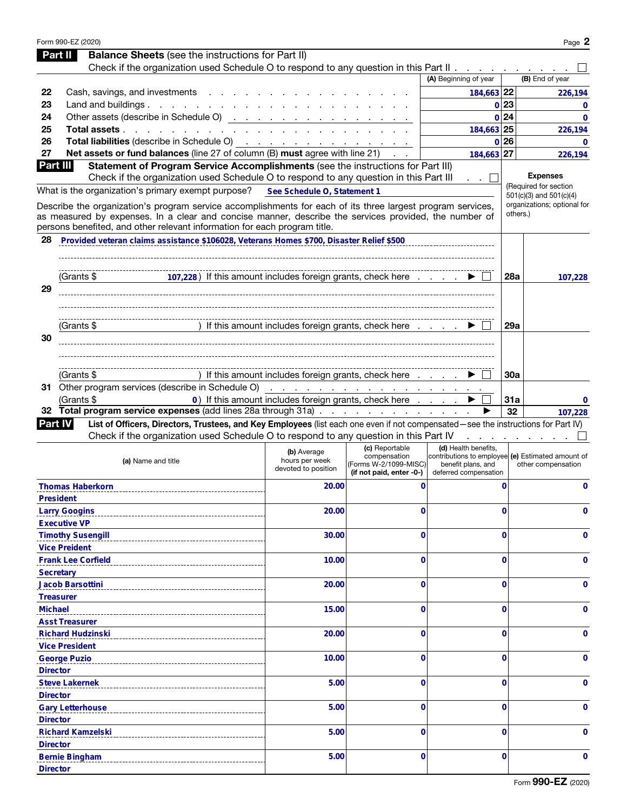|                 | Form 990-EZ (2020)                                                                                                                                                                                                                                                                                |                                                       |                                                                                     |                                                                                                                          |             | Page 2                                  |
|-----------------|---------------------------------------------------------------------------------------------------------------------------------------------------------------------------------------------------------------------------------------------------------------------------------------------------|-------------------------------------------------------|-------------------------------------------------------------------------------------|--------------------------------------------------------------------------------------------------------------------------|-------------|-----------------------------------------|
|                 | <b>Balance Sheets</b> (see the instructions for Part II)<br>Part II                                                                                                                                                                                                                               |                                                       |                                                                                     |                                                                                                                          |             |                                         |
|                 | Check if the organization used Schedule O to respond to any question in this Part II                                                                                                                                                                                                              |                                                       |                                                                                     |                                                                                                                          |             |                                         |
|                 |                                                                                                                                                                                                                                                                                                   |                                                       |                                                                                     | (A) Beginning of year                                                                                                    |             | (B) End of year                         |
| 22              | Cash, savings, and investments                                                                                                                                                                                                                                                                    |                                                       |                                                                                     | 184,663 22                                                                                                               |             | 226,194                                 |
| 23              | Land and buildings. $\ldots$ $\ldots$ $\ldots$ $\ldots$ $\ldots$ $\ldots$                                                                                                                                                                                                                         |                                                       |                                                                                     | 0 23                                                                                                                     |             | 0                                       |
| 24              | Other assets (describe in Schedule O)                                                                                                                                                                                                                                                             |                                                       |                                                                                     | 0 24                                                                                                                     |             | $\mathbf{0}$                            |
| 25              | Total assets                                                                                                                                                                                                                                                                                      |                                                       |                                                                                     | 184.663 25                                                                                                               |             | 226,194                                 |
| 26              | Total liabilities (describe in Schedule O) (a) and a series of the series of the series of the series of the series of the series of the series of the series of the series of the series of the series of the series of the s                                                                    |                                                       |                                                                                     | 0 26                                                                                                                     |             | $\mathbf{0}$                            |
| 27              | Net assets or fund balances (line 27 of column (B) must agree with line 21)                                                                                                                                                                                                                       |                                                       |                                                                                     | 184,663 27                                                                                                               |             | 226,194                                 |
| Part III        | Statement of Program Service Accomplishments (see the instructions for Part III)<br>Check if the organization used Schedule O to respond to any question in this Part III                                                                                                                         |                                                       |                                                                                     |                                                                                                                          |             | <b>Expenses</b>                         |
|                 | What is the organization's primary exempt purpose?                                                                                                                                                                                                                                                |                                                       |                                                                                     | $\cdots$                                                                                                                 |             | (Required for section                   |
|                 |                                                                                                                                                                                                                                                                                                   | See Schedule O, Statement 1                           |                                                                                     |                                                                                                                          |             | $501(c)(3)$ and $501(c)(4)$             |
|                 | Describe the organization's program service accomplishments for each of its three largest program services,<br>as measured by expenses. In a clear and concise manner, describe the services provided, the number of<br>persons benefited, and other relevant information for each program title. |                                                       |                                                                                     |                                                                                                                          |             | organizations; optional for<br>others.) |
| 28              | Provided veteran claims assistance \$106028, Veterans Homes \$700, Disaster Relief \$500                                                                                                                                                                                                          |                                                       |                                                                                     |                                                                                                                          |             |                                         |
|                 | 107,228) If this amount includes foreign grants, check here<br>(Grants \$                                                                                                                                                                                                                         |                                                       |                                                                                     |                                                                                                                          | <b>28a</b>  | 107,228                                 |
| 29              |                                                                                                                                                                                                                                                                                                   |                                                       |                                                                                     |                                                                                                                          |             |                                         |
|                 | (Grants \$                                                                                                                                                                                                                                                                                        | ) If this amount includes foreign grants, check here  |                                                                                     |                                                                                                                          | 29a         |                                         |
| 30              |                                                                                                                                                                                                                                                                                                   |                                                       |                                                                                     |                                                                                                                          |             |                                         |
|                 | (Grants \$                                                                                                                                                                                                                                                                                        | If this amount includes foreign grants, check here    |                                                                                     |                                                                                                                          | 30a         |                                         |
|                 |                                                                                                                                                                                                                                                                                                   |                                                       |                                                                                     |                                                                                                                          |             |                                         |
|                 | (Grants \$                                                                                                                                                                                                                                                                                        | 0) If this amount includes foreign grants, check here |                                                                                     |                                                                                                                          | 31a         | 0                                       |
|                 | 32 Total program service expenses (add lines 28a through 31a)                                                                                                                                                                                                                                     |                                                       |                                                                                     |                                                                                                                          | 32          | 107,228                                 |
| <b>Part IV</b>  | List of Officers, Directors, Trustees, and Key Employees (list each one even if not compensated-see the instructions for Part IV)                                                                                                                                                                 |                                                       |                                                                                     |                                                                                                                          |             |                                         |
|                 |                                                                                                                                                                                                                                                                                                   |                                                       |                                                                                     |                                                                                                                          |             |                                         |
|                 | Check if the organization used Schedule O to respond to any question in this Part IV                                                                                                                                                                                                              |                                                       |                                                                                     |                                                                                                                          |             |                                         |
|                 | (a) Name and title                                                                                                                                                                                                                                                                                | (b) Average<br>hours per week<br>devoted to position  | (c) Reportable<br>compensation<br>(Forms W-2/1099-MISC)<br>(if not paid, enter -0-) | (d) Health benefits,<br>contributions to employee (e) Estimated amount of<br>benefit plans, and<br>deferred compensation |             | other compensation                      |
|                 | <b>Thomas Haberkorn</b>                                                                                                                                                                                                                                                                           | 20.00                                                 | 0                                                                                   |                                                                                                                          | $\mathbf 0$ | 0                                       |
|                 | <b>President</b>                                                                                                                                                                                                                                                                                  |                                                       |                                                                                     |                                                                                                                          |             |                                         |
|                 | <b>Larry Googins</b>                                                                                                                                                                                                                                                                              | 20.00                                                 | 0                                                                                   |                                                                                                                          | 0           | 0                                       |
|                 | <b>Executive VP</b>                                                                                                                                                                                                                                                                               |                                                       |                                                                                     |                                                                                                                          |             |                                         |
|                 | <b>Timothy Susengill</b>                                                                                                                                                                                                                                                                          | 30.00                                                 | 0                                                                                   |                                                                                                                          | 0           | 0                                       |
|                 | <b>Vice Preident</b>                                                                                                                                                                                                                                                                              |                                                       |                                                                                     |                                                                                                                          |             |                                         |
|                 | <b>Frank Lee Corfield</b>                                                                                                                                                                                                                                                                         | 10.00                                                 | 0                                                                                   |                                                                                                                          | 0           | 0                                       |
|                 | <b>Secretary</b>                                                                                                                                                                                                                                                                                  |                                                       |                                                                                     |                                                                                                                          |             |                                         |
|                 | Jacob Barsottini                                                                                                                                                                                                                                                                                  | 20.00                                                 | 0                                                                                   |                                                                                                                          | 0           | 0                                       |
|                 | <b>Treasurer</b>                                                                                                                                                                                                                                                                                  |                                                       |                                                                                     |                                                                                                                          |             |                                         |
| <b>Michael</b>  |                                                                                                                                                                                                                                                                                                   | 15.00                                                 | 0                                                                                   |                                                                                                                          | 0           | 0                                       |
|                 | <b>Asst Treasurer</b>                                                                                                                                                                                                                                                                             |                                                       |                                                                                     |                                                                                                                          |             |                                         |
|                 | <b>Richard Hudzinski</b>                                                                                                                                                                                                                                                                          | 20.00                                                 | 0                                                                                   |                                                                                                                          | 0           | 0                                       |
|                 | <b>Vice President</b>                                                                                                                                                                                                                                                                             |                                                       |                                                                                     |                                                                                                                          |             |                                         |
|                 | <b>George Puzio</b>                                                                                                                                                                                                                                                                               | 10.00                                                 | 0                                                                                   |                                                                                                                          | 0           | 0                                       |
| <b>Director</b> |                                                                                                                                                                                                                                                                                                   |                                                       |                                                                                     |                                                                                                                          |             |                                         |
|                 | <b>Steve Lakernek</b>                                                                                                                                                                                                                                                                             | 5.00                                                  | 0                                                                                   |                                                                                                                          | 0           | 0                                       |
| <b>Director</b> |                                                                                                                                                                                                                                                                                                   |                                                       | 0                                                                                   |                                                                                                                          | 0           | 0                                       |
| <b>Director</b> | <b>Gary Letterhouse</b>                                                                                                                                                                                                                                                                           | 5.00                                                  |                                                                                     |                                                                                                                          |             |                                         |
|                 | <b>Richard Kamzelski</b>                                                                                                                                                                                                                                                                          | 5.00                                                  | 0                                                                                   |                                                                                                                          | 0           | 0                                       |
| <b>Director</b> |                                                                                                                                                                                                                                                                                                   |                                                       |                                                                                     |                                                                                                                          |             |                                         |
|                 | <b>Bernie Bingham</b>                                                                                                                                                                                                                                                                             | 5.00                                                  | 0                                                                                   |                                                                                                                          | 0           | 0                                       |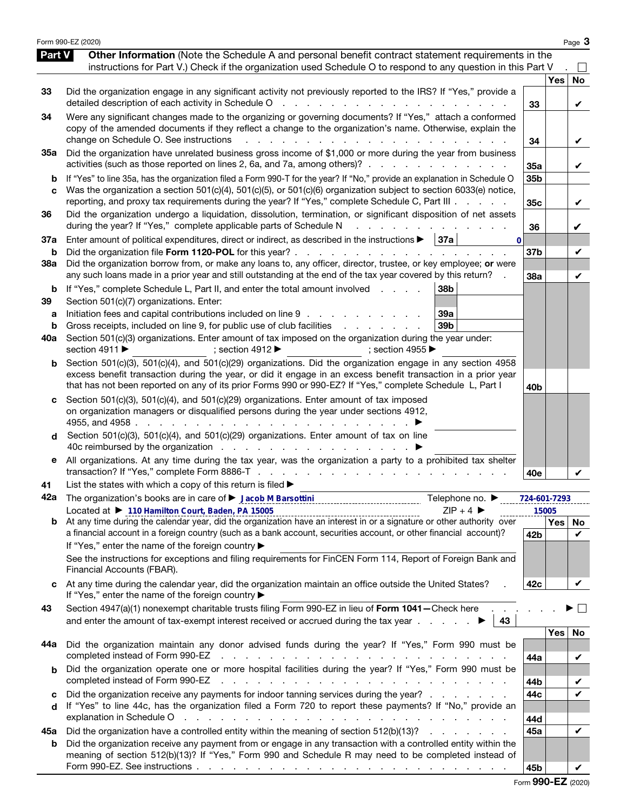|                          | Form 990-EZ (2020)                                                                                                                                                                                                                                                                                                                                                                                                                                                                                                         |                       |     | Page 3         |
|--------------------------|----------------------------------------------------------------------------------------------------------------------------------------------------------------------------------------------------------------------------------------------------------------------------------------------------------------------------------------------------------------------------------------------------------------------------------------------------------------------------------------------------------------------------|-----------------------|-----|----------------|
| Part V                   | Other Information (Note the Schedule A and personal benefit contract statement requirements in the<br>instructions for Part V.) Check if the organization used Schedule O to respond to any question in this Part V                                                                                                                                                                                                                                                                                                        |                       |     |                |
| 33                       | Did the organization engage in any significant activity not previously reported to the IRS? If "Yes," provide a<br>detailed description of each activity in Schedule O<br>and the state of the state of the                                                                                                                                                                                                                                                                                                                | 33                    | Yes | <b>No</b><br>V |
| 34                       | Were any significant changes made to the organizing or governing documents? If "Yes," attach a conformed<br>copy of the amended documents if they reflect a change to the organization's name. Otherwise, explain the<br>change on Schedule O. See instructions<br>$\mathcal{L}^{\text{max}}$                                                                                                                                                                                                                              | 34                    |     | V              |
| 35a                      | Did the organization have unrelated business gross income of \$1,000 or more during the year from business<br>activities (such as those reported on lines 2, 6a, and 7a, among others)?                                                                                                                                                                                                                                                                                                                                    | 35a                   |     | V              |
| b<br>c                   | If "Yes" to line 35a, has the organization filed a Form 990-T for the year? If "No," provide an explanation in Schedule O<br>Was the organization a section 501(c)(4), 501(c)(5), or 501(c)(6) organization subject to section 6033(e) notice,<br>reporting, and proxy tax requirements during the year? If "Yes," complete Schedule C, Part III                                                                                                                                                                           | 35b<br>35c            |     | V              |
| 36                       | Did the organization undergo a liquidation, dissolution, termination, or significant disposition of net assets<br>during the year? If "Yes," complete applicable parts of Schedule N                                                                                                                                                                                                                                                                                                                                       | 36                    |     | V              |
| 37a<br>b                 | Enter amount of political expenditures, direct or indirect, as described in the instructions $\blacktriangleright$<br>  37a<br>$\bf{0}$<br>Did the organization file Form 1120-POL for this year?.                                                                                                                                                                                                                                                                                                                         | 37 <sub>b</sub>       |     | V              |
| <b>38a</b>               | Did the organization borrow from, or make any loans to, any officer, director, trustee, or key employee; or were<br>any such loans made in a prior year and still outstanding at the end of the tax year covered by this return?                                                                                                                                                                                                                                                                                           | 38a                   |     | V              |
| b<br>39<br>а<br>b<br>40a | If "Yes," complete Schedule L, Part II, and enter the total amount involved<br>38b<br>Section 501(c)(7) organizations. Enter:<br>Initiation fees and capital contributions included on line 9<br>39a<br>Gross receipts, included on line 9, for public use of club facilities<br>39 <sub>b</sub><br>the contract of the contract of<br>Section 501(c)(3) organizations. Enter amount of tax imposed on the organization during the year under:<br>section 4911 ▶<br>; section 4912 $\blacktriangleright$<br>; section 4955 |                       |     |                |
| b                        | Section 501(c)(3), 501(c)(4), and 501(c)(29) organizations. Did the organization engage in any section 4958<br>excess benefit transaction during the year, or did it engage in an excess benefit transaction in a prior year<br>that has not been reported on any of its prior Forms 990 or 990-EZ? If "Yes," complete Schedule L, Part I                                                                                                                                                                                  | 40 <sub>b</sub>       |     |                |
| d                        | Section 501(c)(3), 501(c)(4), and 501(c)(29) organizations. Enter amount of tax imposed<br>on organization managers or disqualified persons during the year under sections 4912,<br>4955, and 4958.<br>Section 501(c)(3), 501(c)(4), and 501(c)(29) organizations. Enter amount of tax on line                                                                                                                                                                                                                             |                       |     |                |
| е                        | All organizations. At any time during the tax year, was the organization a party to a prohibited tax shelter                                                                                                                                                                                                                                                                                                                                                                                                               | 40e                   |     |                |
| 41                       | List the states with which a copy of this return is filed $\blacktriangleright$                                                                                                                                                                                                                                                                                                                                                                                                                                            |                       |     |                |
| 42a                      | Telephone no. ▶<br>$ZIP + 4$                                                                                                                                                                                                                                                                                                                                                                                                                                                                                               | 724-601-7293<br>15005 |     |                |
|                          | Located at ▶ 110 Hamilton Court, Baden, PA 15005<br>Located at $\blacktriangleright$ 110 Hamilton Court, Bagen, PA 15005<br>b At any time during the calendar year, did the organization have an interest in or a signature or other authority over<br>a financial account in a foreign country (such as a bank account, securities account, or other financial account)?<br>If "Yes," enter the name of the foreign country ▶                                                                                             | 42b                   | Yes | No<br>V        |
|                          | See the instructions for exceptions and filing requirements for FinCEN Form 114, Report of Foreign Bank and<br>Financial Accounts (FBAR).                                                                                                                                                                                                                                                                                                                                                                                  |                       |     |                |
|                          | At any time during the calendar year, did the organization maintain an office outside the United States?<br>If "Yes," enter the name of the foreign country ▶                                                                                                                                                                                                                                                                                                                                                              | 42c                   |     | V              |
| 43                       | Section 4947(a)(1) nonexempt charitable trusts filing Form 990-EZ in lieu of Form 1041-Check here<br>and enter the amount of tax-exempt interest received or accrued during the tax year $\ldots$<br>43                                                                                                                                                                                                                                                                                                                    |                       |     | $\mathbb{R}^n$ |
| 44a                      | Did the organization maintain any donor advised funds during the year? If "Yes," Form 990 must be<br>completed instead of Form 990-EZ<br>the contract of the contract of the contract of the contract of the contract of the contract of the contract of                                                                                                                                                                                                                                                                   | 44a                   | Yes | No<br>V        |
| b                        | Did the organization operate one or more hospital facilities during the year? If "Yes," Form 990 must be<br>completed instead of Form 990-EZ<br>and a construction of the construction of the construction of the construction of the construction of the construction of the construction of the construction of the construction of the construction of the construction of                                                                                                                                              | 44b                   |     | V              |
| с<br>d                   | Did the organization receive any payments for indoor tanning services during the year?<br>If "Yes" to line 44c, has the organization filed a Form 720 to report these payments? If "No," provide an                                                                                                                                                                                                                                                                                                                        | 44c                   |     | $\checkmark$   |
| 45а                      | explanation in Schedule O<br>Did the organization have a controlled entity within the meaning of section 512(b)(13)?                                                                                                                                                                                                                                                                                                                                                                                                       | 44d<br>45a            |     | $\checkmark$   |
| b                        | Did the organization receive any payment from or engage in any transaction with a controlled entity within the<br>meaning of section 512(b)(13)? If "Yes," Form 990 and Schedule R may need to be completed instead of                                                                                                                                                                                                                                                                                                     | 45b                   |     |                |

Form 990-EZ (2020)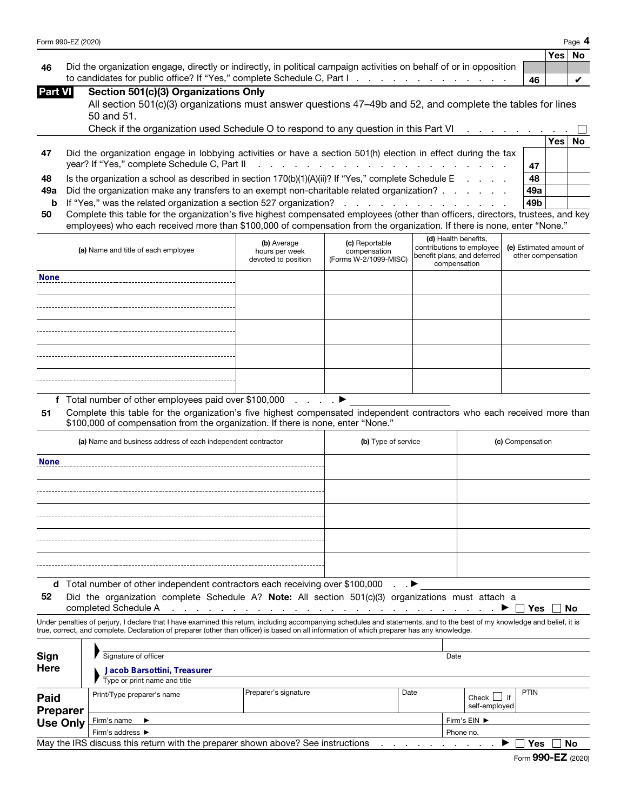| Form 990-EZ (2020) | Page |
|--------------------|------|
|                    |      |

|                                                                                                                        |    | Yes   No |  |
|------------------------------------------------------------------------------------------------------------------------|----|----------|--|
| 46 Did the organization engage, directly or indirectly, in political campaign activities on behalf of or in opposition |    |          |  |
| to candidates for public office? If "Yes," complete Schedule C, Part I. The Community of the Community of the C        | 46 |          |  |

| <b>Part VI</b> | Section 501(c)(3) Organizations Only |  |
|----------------|--------------------------------------|--|
|                |                                      |  |

| All section 501(c)(3) organizations must answer questions 47-49b and 52, and complete the tables for lines |  |
|------------------------------------------------------------------------------------------------------------|--|
| 50 and 51.                                                                                                 |  |

|    | Check if the organization used Schedule O to respond to any question in this Part VI                          |     |      |    |
|----|---------------------------------------------------------------------------------------------------------------|-----|------|----|
|    |                                                                                                               |     | Yes⊺ | No |
| 47 | Did the organization engage in lobbying activities or have a section 501(h) election in effect during the tax |     |      |    |
|    |                                                                                                               | 47  |      |    |
| 48 | Is the organization a school as described in section $170(b)(1)(A)(ii)$ ? If "Yes," complete Schedule E       | 48  |      |    |
|    | 49a Did the organization make any transfers to an exempt non-charitable related organization?                 | 49a |      |    |
|    | <b>b</b> If "Yes," was the related organization a section 527 organization?                                   | 49b |      |    |
|    |                                                                                                               |     |      |    |

| 50 Complete this table for the organization's five highest compensated employees (other than officers, directors, trustees, and key |
|-------------------------------------------------------------------------------------------------------------------------------------|
| employees) who each received more than \$100,000 of compensation from the organization. If there is none, enter "None."             |

|             | to candidates for public office? If "Yes," complete Schedule C, Part I. A. A. A. A. A. A. A. A. A. A.                                                                                                                                                       |                               |                                                                                                                                                                                                                               |                      |                                             | 46                      |     | V         |
|-------------|-------------------------------------------------------------------------------------------------------------------------------------------------------------------------------------------------------------------------------------------------------------|-------------------------------|-------------------------------------------------------------------------------------------------------------------------------------------------------------------------------------------------------------------------------|----------------------|---------------------------------------------|-------------------------|-----|-----------|
| Part VI     | Section 501(c)(3) Organizations Only                                                                                                                                                                                                                        |                               |                                                                                                                                                                                                                               |                      |                                             |                         |     |           |
|             | All section 501(c)(3) organizations must answer questions 47–49b and 52, and complete the tables for lines                                                                                                                                                  |                               |                                                                                                                                                                                                                               |                      |                                             |                         |     |           |
|             | 50 and 51.                                                                                                                                                                                                                                                  |                               |                                                                                                                                                                                                                               |                      |                                             |                         |     |           |
|             | Check if the organization used Schedule O to respond to any question in this Part VI                                                                                                                                                                        |                               |                                                                                                                                                                                                                               |                      |                                             |                         |     |           |
|             |                                                                                                                                                                                                                                                             |                               |                                                                                                                                                                                                                               |                      |                                             |                         | Yes | <b>No</b> |
| 47          | Did the organization engage in lobbying activities or have a section 501(h) election in effect during the tax                                                                                                                                               |                               |                                                                                                                                                                                                                               |                      |                                             |                         |     |           |
|             | year? If "Yes," complete Schedule C, Part II                                                                                                                                                                                                                |                               | a construction of the construction of the construction of the construction of the construction of the construction of the construction of the construction of the construction of the construction of the construction of the |                      |                                             | 47                      |     |           |
| 48          | Is the organization a school as described in section 170(b)(1)(A)(ii)? If "Yes," complete Schedule E                                                                                                                                                        |                               |                                                                                                                                                                                                                               |                      |                                             | 48                      |     |           |
| 49a         | Did the organization make any transfers to an exempt non-charitable related organization?                                                                                                                                                                   |                               |                                                                                                                                                                                                                               |                      |                                             | 49a                     |     |           |
| b           | If "Yes," was the related organization a section 527 organization?                                                                                                                                                                                          |                               | and the contract of the contract of the con-                                                                                                                                                                                  |                      |                                             | 49b                     |     |           |
| 50          | Complete this table for the organization's five highest compensated employees (other than officers, directors, trustees, and key<br>employees) who each received more than \$100,000 of compensation from the organization. If there is none, enter "None." |                               |                                                                                                                                                                                                                               |                      |                                             |                         |     |           |
|             |                                                                                                                                                                                                                                                             |                               |                                                                                                                                                                                                                               | (d) Health benefits, |                                             |                         |     |           |
|             | (a) Name and title of each employee                                                                                                                                                                                                                         | (b) Average<br>hours per week | (c) Reportable<br>compensation                                                                                                                                                                                                |                      | contributions to employee                   | (e) Estimated amount of |     |           |
|             |                                                                                                                                                                                                                                                             | devoted to position           | (Forms W-2/1099-MISC)                                                                                                                                                                                                         |                      | benefit plans, and deferred<br>compensation | other compensation      |     |           |
| <b>None</b> |                                                                                                                                                                                                                                                             |                               |                                                                                                                                                                                                                               |                      |                                             |                         |     |           |
|             |                                                                                                                                                                                                                                                             |                               |                                                                                                                                                                                                                               |                      |                                             |                         |     |           |
|             |                                                                                                                                                                                                                                                             |                               |                                                                                                                                                                                                                               |                      |                                             |                         |     |           |
|             |                                                                                                                                                                                                                                                             |                               |                                                                                                                                                                                                                               |                      |                                             |                         |     |           |
|             |                                                                                                                                                                                                                                                             |                               |                                                                                                                                                                                                                               |                      |                                             |                         |     |           |
|             |                                                                                                                                                                                                                                                             |                               |                                                                                                                                                                                                                               |                      |                                             |                         |     |           |
|             |                                                                                                                                                                                                                                                             |                               |                                                                                                                                                                                                                               |                      |                                             |                         |     |           |
|             |                                                                                                                                                                                                                                                             |                               |                                                                                                                                                                                                                               |                      |                                             |                         |     |           |
|             |                                                                                                                                                                                                                                                             |                               |                                                                                                                                                                                                                               |                      |                                             |                         |     |           |
|             |                                                                                                                                                                                                                                                             |                               |                                                                                                                                                                                                                               |                      |                                             |                         |     |           |
|             | f Total number of other employees paid over \$100,000                                                                                                                                                                                                       | and a state of                |                                                                                                                                                                                                                               |                      |                                             |                         |     |           |
| 51          | Complete this table for the organization's five highest compensated independent contractors who each received more than<br>\$100,000 of compensation from the organization. If there is none, enter "None."                                                 |                               |                                                                                                                                                                                                                               |                      |                                             |                         |     |           |
|             | (a) Name and business address of each independent contractor                                                                                                                                                                                                |                               | (b) Type of service                                                                                                                                                                                                           |                      |                                             | (c) Compensation        |     |           |
|             |                                                                                                                                                                                                                                                             |                               |                                                                                                                                                                                                                               |                      |                                             |                         |     |           |
| <b>None</b> |                                                                                                                                                                                                                                                             |                               |                                                                                                                                                                                                                               |                      |                                             |                         |     |           |

| (a) Name and business address of each independent contractor                                     | (b) Type of service | (c) Compensation |  |  |  |
|--------------------------------------------------------------------------------------------------|---------------------|------------------|--|--|--|
| <b>None</b>                                                                                      |                     |                  |  |  |  |
|                                                                                                  |                     |                  |  |  |  |
|                                                                                                  |                     |                  |  |  |  |
|                                                                                                  |                     |                  |  |  |  |
|                                                                                                  |                     |                  |  |  |  |
| d Total number of other independent contractors each receiving over \$100,000<br>$\cdot$ $\cdot$ |                     |                  |  |  |  |

52 Did the organization complete Schedule A? Note: All section 501(c)(3) organizations must attach a

completed Schedule A . . . . . . . . . . . . . . . . . . . . . . . . . . . ▶ Yes No

Under penalties of perjury, I declare that I have examined this return, including accompanying schedules and statements, and to the best of my knowledge and belief, it is true, correct, and complete. Declaration of preparer (other than officer) is based on all information of which preparer has any knowledge.

| Sign<br><b>Here</b>                                                                          | Signature of officer<br>Jacob Barsottini, Treasurer |                      |      | Date                             |             |  |
|----------------------------------------------------------------------------------------------|-----------------------------------------------------|----------------------|------|----------------------------------|-------------|--|
|                                                                                              | Type or print name and title                        |                      |      |                                  |             |  |
| <b>Paid</b><br><b>Preparer</b>                                                               | Print/Type preparer's name                          | Preparer's signature | Date | Check $\Box$ if<br>self-employed | <b>PTIN</b> |  |
| <b>Use Only</b>                                                                              | Firm's name $\blacktriangleright$                   |                      |      | Firm's EIN ▶                     |             |  |
|                                                                                              | Firm's address $\blacktriangleright$                |                      |      | Phone no.                        |             |  |
| May the IRS discuss this return with the preparer shown above? See instructions<br>No<br>Yes |                                                     |                      |      |                                  |             |  |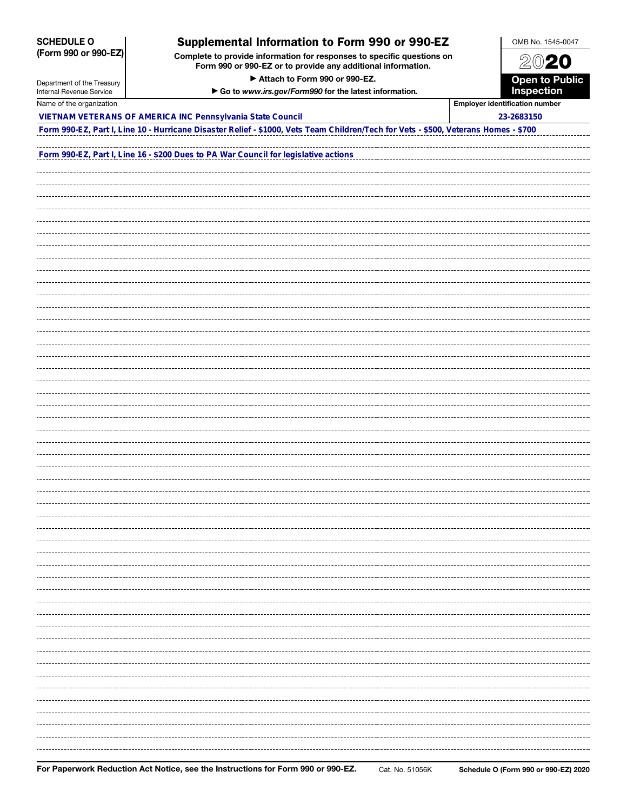### SCHEDULE O (Form 990 or 990-EZ)

Department of the Treasury Internal Revenue Service

## Supplemental Information to Form 990 or 990-EZ

Complete to provide information for responses to specific questions on Form 990 or 990-EZ or to provide any additional information.

▶ Attach to Form 990 or 990-EZ.

▶ Go to *www.irs.gov/Form990* for the latest information*.*



| Name of the organization                                                                                                            | <b>Employer identification number</b> |  |  |  |  |
|-------------------------------------------------------------------------------------------------------------------------------------|---------------------------------------|--|--|--|--|
| VIETNAM VETERANS OF AMERICA INC Pennsylvania State Council                                                                          | 23-2683150                            |  |  |  |  |
| Form 990-EZ, Part I, Line 10 - Hurricane Disaster Relief - \$1000, Vets Team Children/Tech for Vets - \$500, Veterans Homes - \$700 |                                       |  |  |  |  |
|                                                                                                                                     |                                       |  |  |  |  |
| Form 990-EZ, Part I, Line 16 - \$200 Dues to PA War Council for legislative actions                                                 |                                       |  |  |  |  |
|                                                                                                                                     |                                       |  |  |  |  |
|                                                                                                                                     |                                       |  |  |  |  |
|                                                                                                                                     |                                       |  |  |  |  |
|                                                                                                                                     |                                       |  |  |  |  |
|                                                                                                                                     |                                       |  |  |  |  |
|                                                                                                                                     |                                       |  |  |  |  |
|                                                                                                                                     |                                       |  |  |  |  |
|                                                                                                                                     |                                       |  |  |  |  |
|                                                                                                                                     |                                       |  |  |  |  |
|                                                                                                                                     |                                       |  |  |  |  |
|                                                                                                                                     |                                       |  |  |  |  |
|                                                                                                                                     |                                       |  |  |  |  |
|                                                                                                                                     |                                       |  |  |  |  |
|                                                                                                                                     |                                       |  |  |  |  |
|                                                                                                                                     |                                       |  |  |  |  |
|                                                                                                                                     |                                       |  |  |  |  |
|                                                                                                                                     |                                       |  |  |  |  |
|                                                                                                                                     |                                       |  |  |  |  |
|                                                                                                                                     |                                       |  |  |  |  |
|                                                                                                                                     |                                       |  |  |  |  |
|                                                                                                                                     |                                       |  |  |  |  |
|                                                                                                                                     |                                       |  |  |  |  |
|                                                                                                                                     |                                       |  |  |  |  |
|                                                                                                                                     |                                       |  |  |  |  |
|                                                                                                                                     |                                       |  |  |  |  |
|                                                                                                                                     |                                       |  |  |  |  |
|                                                                                                                                     |                                       |  |  |  |  |
|                                                                                                                                     |                                       |  |  |  |  |
|                                                                                                                                     |                                       |  |  |  |  |
|                                                                                                                                     |                                       |  |  |  |  |
|                                                                                                                                     |                                       |  |  |  |  |
|                                                                                                                                     |                                       |  |  |  |  |
|                                                                                                                                     |                                       |  |  |  |  |
|                                                                                                                                     |                                       |  |  |  |  |
|                                                                                                                                     |                                       |  |  |  |  |
|                                                                                                                                     |                                       |  |  |  |  |
|                                                                                                                                     |                                       |  |  |  |  |
|                                                                                                                                     |                                       |  |  |  |  |
|                                                                                                                                     |                                       |  |  |  |  |
|                                                                                                                                     |                                       |  |  |  |  |
|                                                                                                                                     |                                       |  |  |  |  |
|                                                                                                                                     |                                       |  |  |  |  |
|                                                                                                                                     |                                       |  |  |  |  |
|                                                                                                                                     |                                       |  |  |  |  |
|                                                                                                                                     |                                       |  |  |  |  |
|                                                                                                                                     |                                       |  |  |  |  |
|                                                                                                                                     |                                       |  |  |  |  |
|                                                                                                                                     |                                       |  |  |  |  |
|                                                                                                                                     |                                       |  |  |  |  |
|                                                                                                                                     |                                       |  |  |  |  |